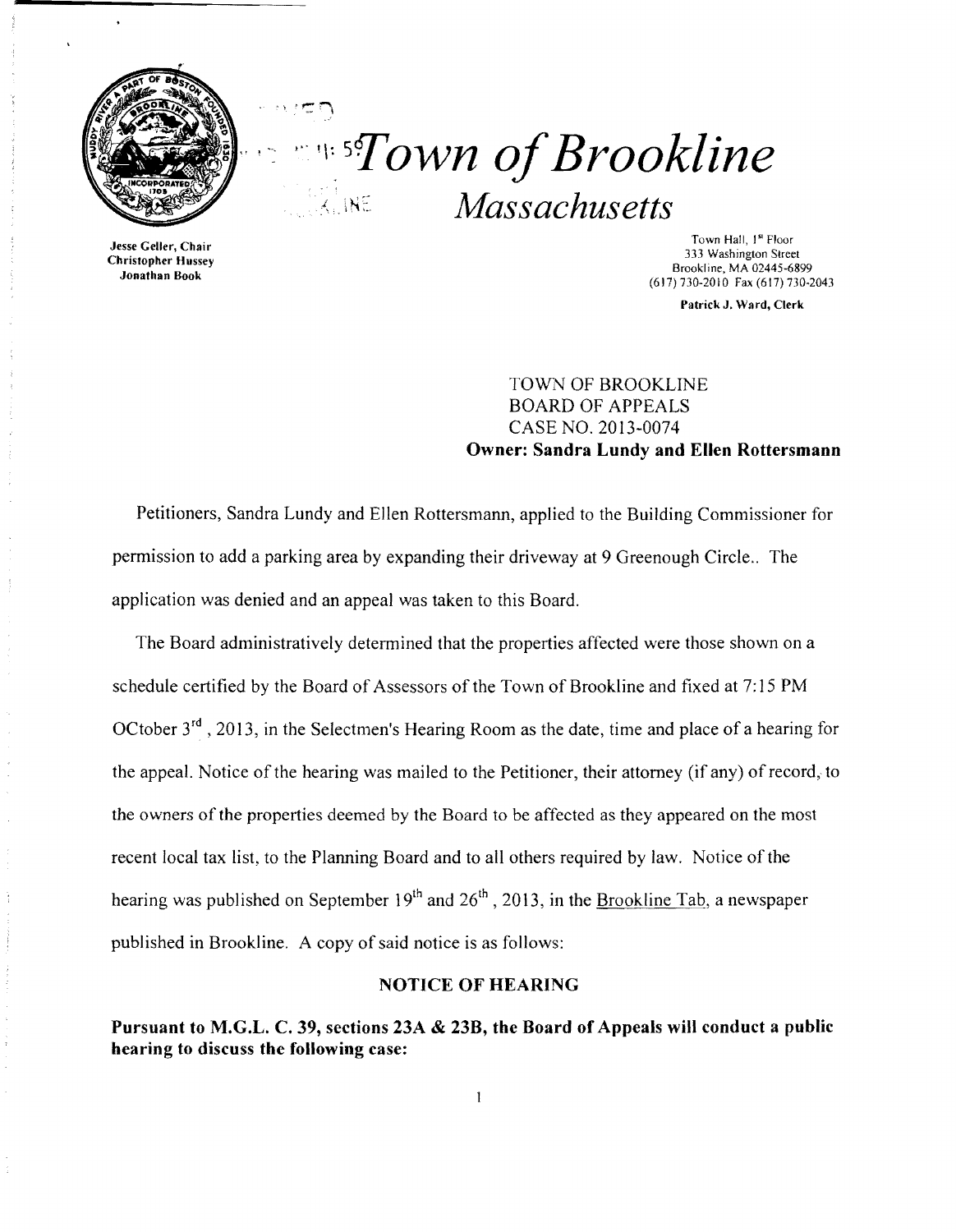

·

 $\cdots$  r:

*<u><i>s* sflown of Brookline</u> .J, N::: *Massachusetts* 

Jesse Geller, Chair **Christopher Hussey** Jonathan Book

Town Hall, I" Floor 333 Washington Street Brookline, MA 02445-6899 (617) 730·2010 Fax (617) 730-2043

Patrick J, Ward, Clerk

TOWN OF BROOKLINE BOARD OF APPEALS CASE NO. 2013-0074 Owner: Sandra Lundy and Ellen Rottersmann

Petitioners, Sandra Lundy and Ellen Rottersmann, applied to the Building Commissioner for permission to add a parking area by expanding their driveway at 9 Greenough Circle.. The application was denied and an appeal was taken to this Board.

The Board administratively determined that the properties affected were those shown on a schedule certified by the Board of Assessors of the Town of Brookline and fixed at 7: 15 PM OCtober 3<sup>rd</sup>, 2013, in the Selectmen's Hearing Room as the date, time and place of a hearing for the appeal. Notice of the hearing was mailed to the Petitioner, their attorney (if any) ofrecord, to the owners of the properties deemed by the Board to be affected as they appeared on the most recent local tax list, to the Planning Board and to all others required by law. Notice of the hearing was published on September  $19<sup>th</sup>$  and  $26<sup>th</sup>$ , 2013, in the Brookline Tab, a newspaper published in Brookline. A copy of said notice is as follows:

## NOTICE OF HEARING

Pursuant to M.G.L. C. 39, sections *23A* & 23B, the Board of Appeals will conduct a public hearing to discuss the following case: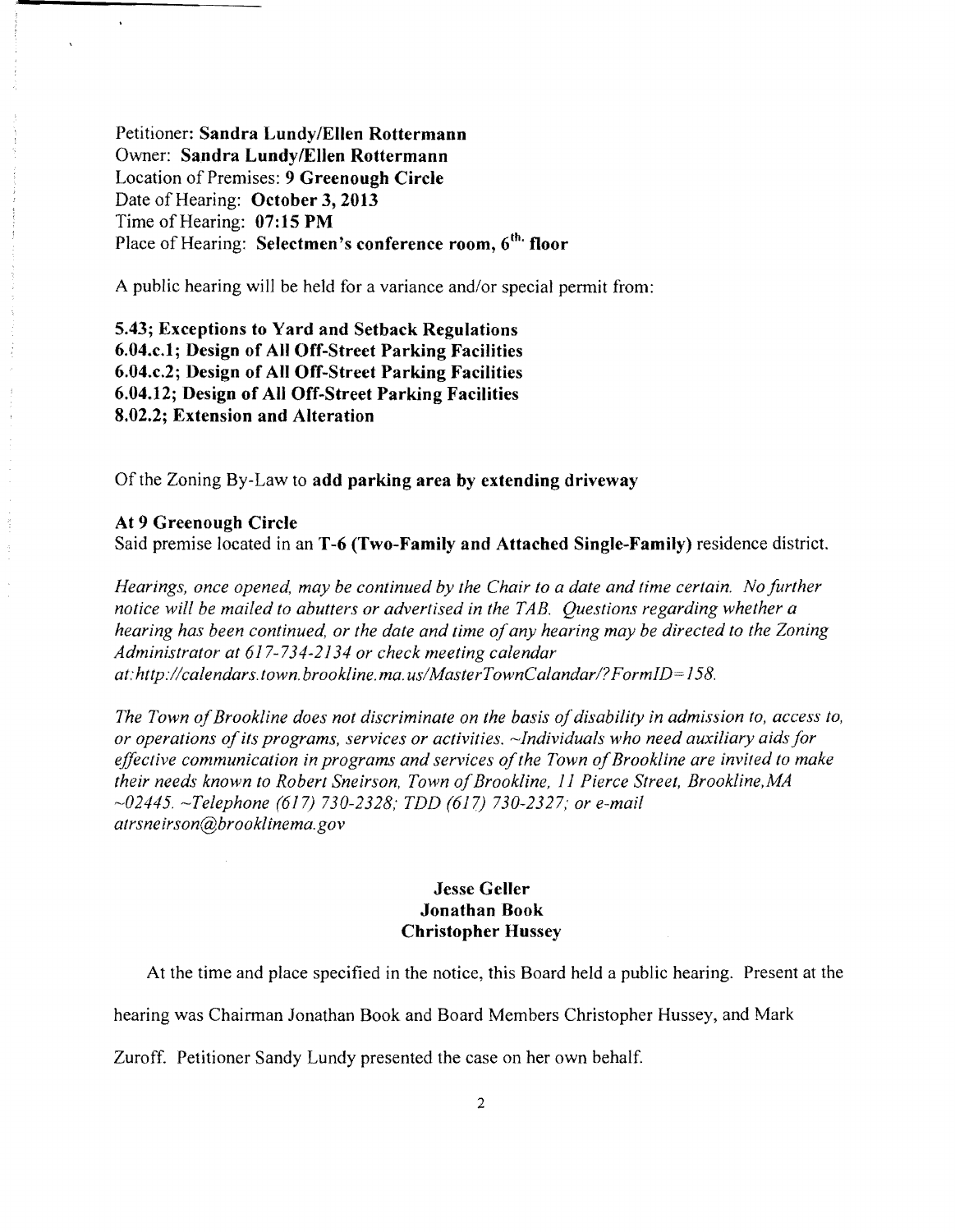Petitioner: **Sandra LundylEllen Rottermann**  Owner: **Sandra LundylEllen Rottermann**  Location of Premises: **9 Greenough Circle**  Date of Hearing: **October 3,2013**  Time of Hearing: **07:15 PM**  Place of Hearing: **Selectmen's conference room, 6<sup>th.</sup> floor** 

A public hearing will be held for a variance and/or special permit from:

**5.43; Exceptions to Yard and Setback Regulations 6.04.c.1; Design of All Off-Street Parking Facilities 6.04.c.2; Design of All Off-Street Parking Facilities 6.04.12; Design of All Off-Street Parking Facilities 8.02.2; Extension and Alteration** 

Of the Zoning By-Law to **add parking area by extending driveway** 

**At 9 Greenough Circle** Said premise located in an **T -6 (Two-Family and Attached Single-Family)** residence district.

*Hearings, once opened, may be continued by the Chair to a date and time certain. No further notice will be mailed to abutters or advertised in the TAB. Questions regarding whether a hearing has been continued, or the date and time ofany hearing may be directed to the Zoning Administrator at* 61 734-2134 *or check meeting calendar at:http://calendars.town.brookline.ma.usIMasterTownCalandarl? FormID= 158.* 

The Town of Brookline does not discriminate on the basis of disability in admission to, access to, *or operations ofits programs, services or activities.* ~Individuals *who need auxiliary aids for*  effective communication in programs and services of the Town of Brookline are invited to make *their needs known to Robert Sneirson, Town ofBrookline,* 11 *Pierce Street, Brookline,MA -02445. -Telephone* (617) *730-2328; TDD* (617) *730-2327,' or e-mail atrsneirson@brooklinema.gov* 

### **Jesse Geller Jonathan Book Christopher Hussey**

At the time and place specified in the notice, this Board held a public hearing. Present at the

hearing was Chairman Jonathan Book and Board Members Christopher Hussey, and Mark

Zuroff. Petitioner Sandy Lundy presented the case on her own behalf.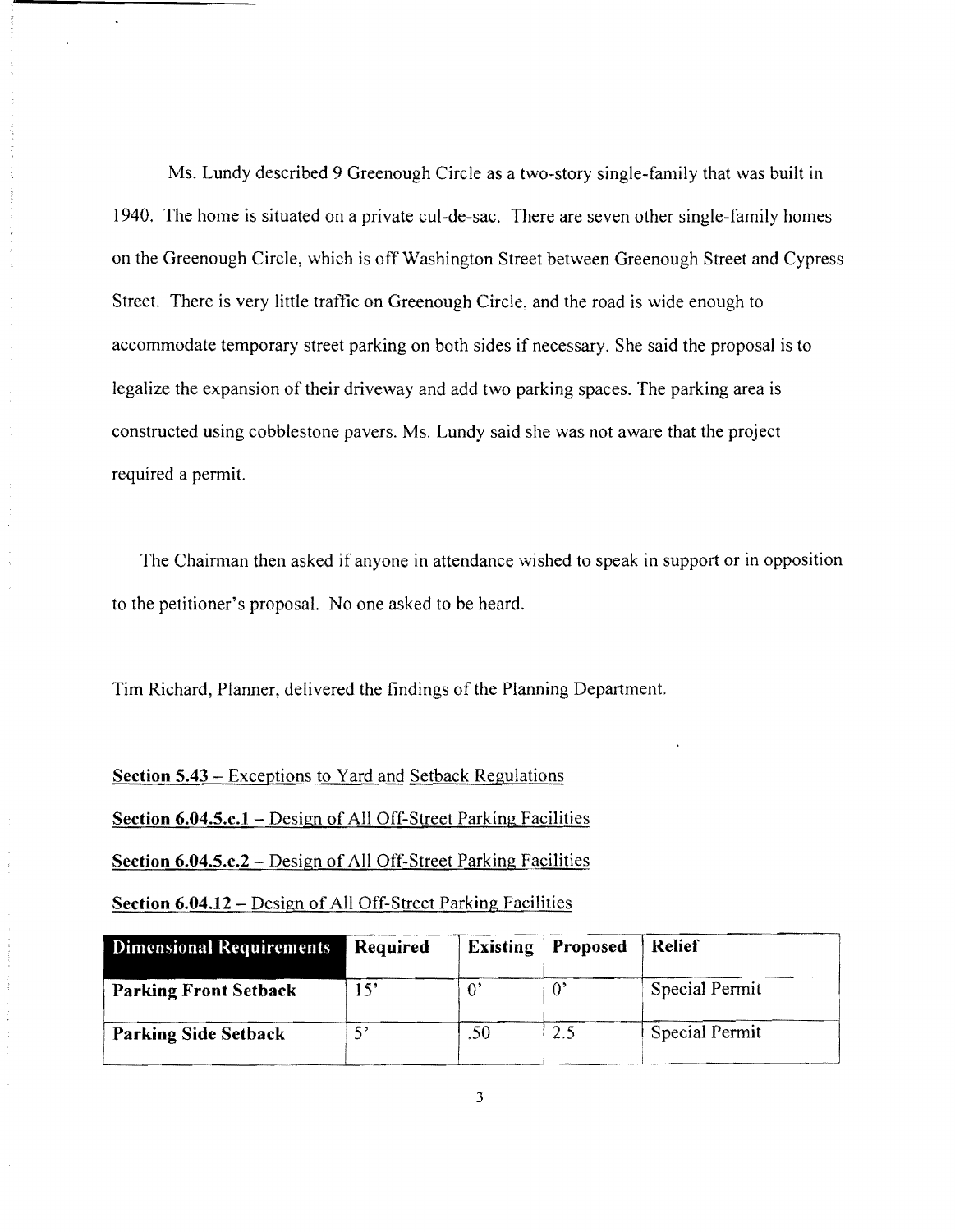Ms. Lundy described 9 Greenough Circle as a two-story single-family that was built in 1940. The home is situated on a private cul-de-sac. There are seven other single-family homes on the Greenough Circle, which is off Washington Street between Greenough Street and Cypress Street. There is very little traffic on Greenough Circle, and the road is wide enough to accommodate temporary street parking on both sides if necessary. She said the proposal is to legalize the expansion of their driveway and add two parking spaces. The parking area is constructed using cobblestone pavers. Ms. Lundy said she was not aware that the project required a permit.

The Chairman then asked if anyone in attendance wished to speak in support or in opposition to the petitioner's proposal. No one asked to be heard.

Tim Richard, Planner, delivered the findings of the Planning Department.

#### **Section S.43** - Exceptions to Yard and Setback Regulations

**Section 6.04.S.c.1** - Design of All Off-Street Parking Facilities

**Section 6.04.S.c.2** - Design of All Off-Street Parking Facilities

**Section 6.04.12 – Design of All Off-Street Parking Facilities** 

| Dimensional Requirements     | Required | <b>Existing</b> | <b>Proposed</b> | <b>Relief</b>  |
|------------------------------|----------|-----------------|-----------------|----------------|
| <b>Parking Front Setback</b> | 15'      |                 |                 | Special Permit |
| <b>Parking Side Setback</b>  |          | .50             | 2.5             | Special Permit |

3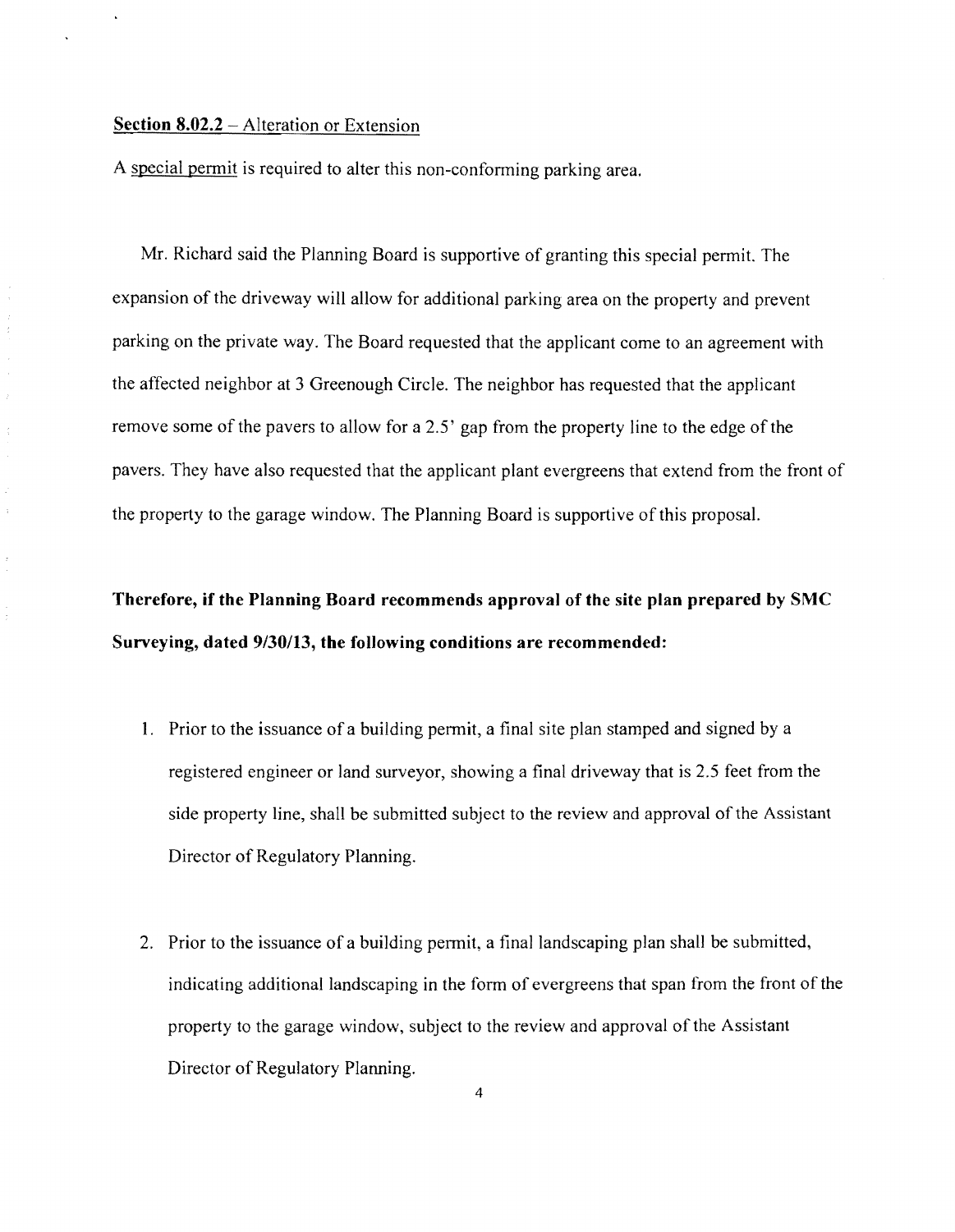#### **Section 8.02.2** – Alteration or Extension

 $\frac{1}{3}$  $\hat{\mathcal{I}}$  $\frac{1}{2}$  $\hat{\boldsymbol{\beta}}$ 

 $\frac{1}{3}$ 

 $\bar{\nu}$ 

 $\bar{z}$ 

A special permit is required to alter this non-conforming parking area.

Mr. Richard said the Planning Board is supportive of granting this special permit. The expansion of the driveway will allow for additional parking area on the property and prevent parking on the private way. The Board requested that the applicant come to an agreement with the affected neighbor at 3 Greenough Circle. The neighbor has requested that the applicant remove some of the pavers to allow for a 2.5' gap from the property line to the edge of the pavers. They have also requested that the applicant plant evergreens that extend from the front of the property to the garage window. The Planning Board is supportive of this proposal.

# **Therefore, if the Planning Board recommends approval of the site plan prepared by SMC Surveying, dated 9/30113, the following conditions are recommended:**

- 1. Prior to the issuance of a building permit, a final site plan stamped and signed by a registered engineer or land surveyor, showing a final driveway that is 2.5 feet from the side property line, shall be submitted subject to the review and approval of the Assistant Director of Regulatory Planning.
- 2. Prior to the issuance of a building permit, a final landscaping plan shall be submitted, indicating additional landscaping in the form of evergreens that span from the front of the property to the garage window, subject to the review and approval of the Assistant Director of Regulatory Planning.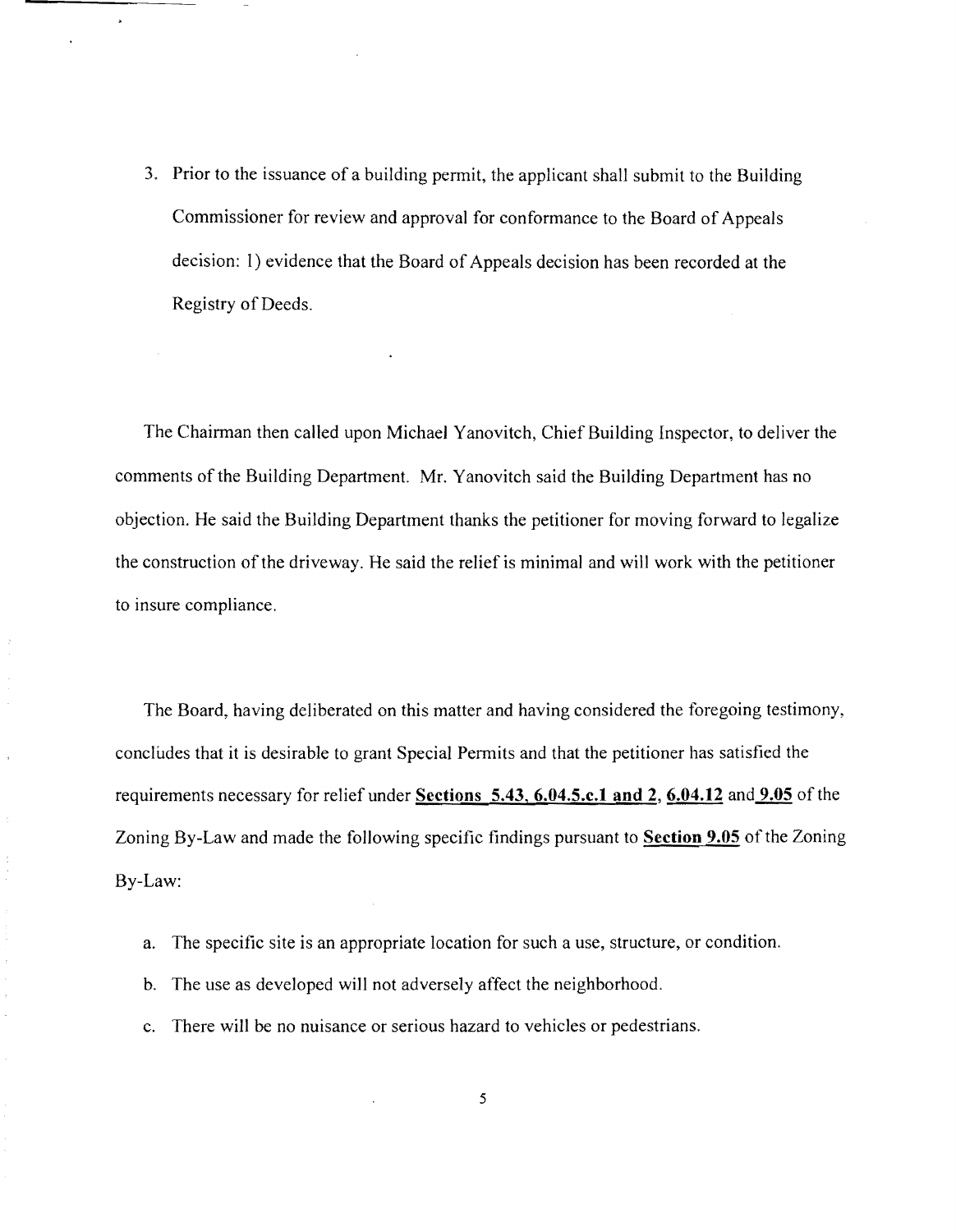3. Prior to the issuance of a building permit, the applicant shall submit to the Building Commissioner for review and approval for conformance to the Board of Appeals decision: I) evidence that the Board of Appeals decision has been recorded at the Registry of Deeds.

The Chairman then called upon Michael Yanovitch, Chief Building Inspector, to deliver the comments of the Building Department. Mr. Yanovitch said the Building Department has no objection. He said the Building Department thanks the petitioner for moving forward to legalize the construction of the driveway. He said the relief is minimal and will work with the petitioner to insure compliance.

The Board, having deliberated on this matter and having considered the foregoing testimony, concludes that it is desirable to grant Special Permits and that the petitioner has satisfied the requirements necessary for relief under **Sections 5.43, 6.04.5.c.l and** 2, **6.04.12** and **9.05** of the Zoning By-Law and made the following specific findings pursuant to **Section 9.05** of the Zoning By-Law:

a. The specific site is an appropriate location for such a use, structure, or condition.

b. The use as developed will not adversely affect the neighborhood.

 $\bar{z}$ 

c. There will be no nuisance or serious hazard to vehicles or pedestrians.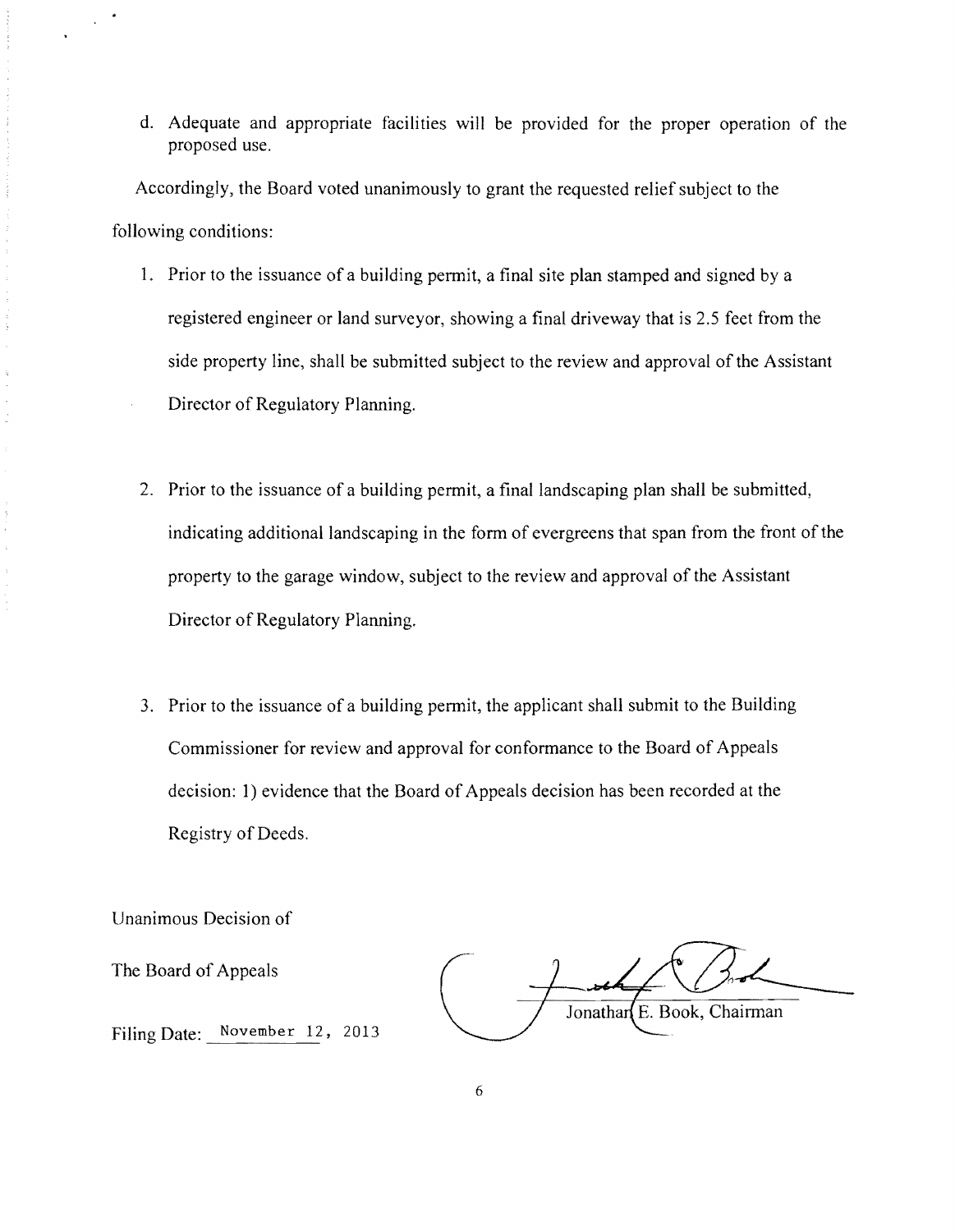d. Adequate and appropriate facilities will be provided for the proper operation of the proposed use.

Accordingly, the Board voted unanimously to grant the requested relief subject to the following conditions:

- 1. Prior to the issuance of a building permit, a final site plan stamped and signed by a registered engineer or land surveyor, showing a final driveway that is 2.5 feet from the side property line, shall be submitted subject to the review and approval of the Assistant Director of Regulatory Planning.
- 2. Prior to the issuance of a building permit, a final landscaping plan shall be submitted, indicating additional landscaping in the form of evergreens that span from the front of the property to the garage window, subject to the review and approval of the Assistant Director of Regulatory Planning.
- 3. Prior to the issuance of a building permit, the applicant shall submit to the Building Commissioner for review and approval for conformance to the Board of Appeals decision: 1) evidence that the Board of Appeals decision has been recorded at the Registry of Deeds.

Unanimous Decision of

The Board of Appeals

Jonathar E. Book, Chairman

Filing Date: November 12, 2013